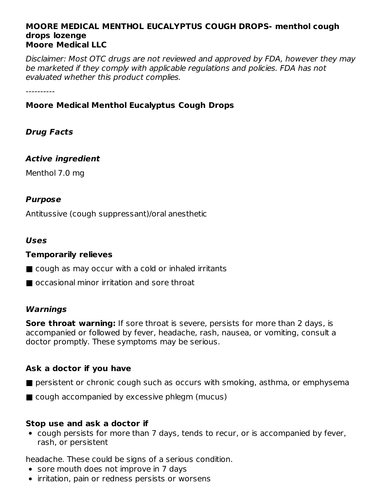#### **MOORE MEDICAL MENTHOL EUCALYPTUS COUGH DROPS- menthol cough drops lozenge Moore Medical LLC**

Disclaimer: Most OTC drugs are not reviewed and approved by FDA, however they may be marketed if they comply with applicable regulations and policies. FDA has not evaluated whether this product complies.

----------

#### **Moore Medical Menthol Eucalyptus Cough Drops**

#### **Drug Facts**

#### **Active ingredient**

Menthol 7.0 mg

#### **Purpose**

Antitussive (cough suppressant)/oral anesthetic

#### **Uses**

#### **Temporarily relieves**

- cough as may occur with a cold or inhaled irritants
- occasional minor irritation and sore throat

#### **Warnings**

**Sore throat warning:** If sore throat is severe, persists for more than 2 days, is accompanied or followed by fever, headache, rash, nausea, or vomiting, consult a doctor promptly. These symptoms may be serious.

#### **Ask a doctor if you have**

- persistent or chronic cough such as occurs with smoking, asthma, or emphysema
- cough accompanied by excessive phlegm (mucus)

#### **Stop use and ask a doctor if**

cough persists for more than 7 days, tends to recur, or is accompanied by fever, rash, or persistent

headache. These could be signs of a serious condition.

- sore mouth does not improve in 7 days
- irritation, pain or redness persists or worsens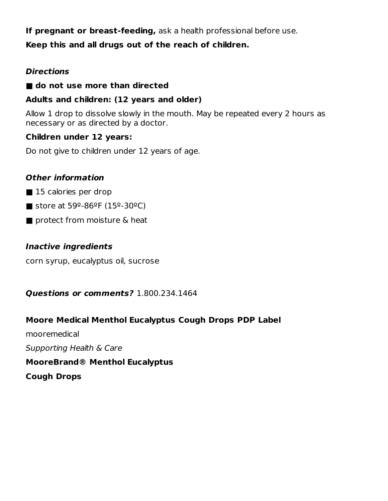**If pregnant or breast-feeding,** ask a health professional before use.

#### **Keep this and all drugs out of the reach of children.**

#### **Directions**

#### ■ **do not use more than directed**

#### **Adults and children: (12 years and older)**

Allow 1 drop to dissolve slowly in the mouth. May be repeated every 2 hours as necessary or as directed by a doctor.

#### **Children under 12 years:**

Do not give to children under 12 years of age.

#### **Other information**

- 15 calories per drop
- store at 59 $9$ -86 $9$ F (15 $9$ -30 $9$ C)
- protect from moisture & heat

#### **Inactive ingredients**

corn syrup, eucalyptus oil, sucrose

#### **Questions or comments?** 1.800.234.1464

#### **Moore Medical Menthol Eucalyptus Cough Drops PDP Label**

mooremedical Supporting Health & Care **MooreBrand® Menthol Eucalyptus**

**Cough Drops**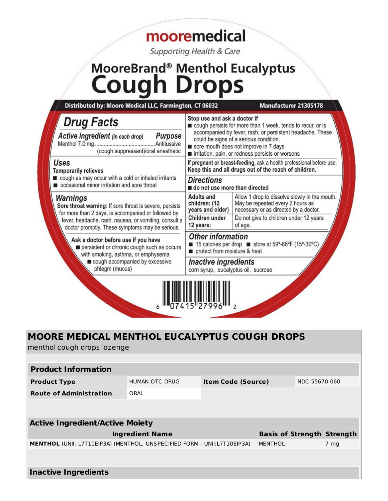# mooremedical

Supporting Health & Care

# MooreBrand® Menthol Eucalyptus<br>COUGh Drops

| Distributed by: Moore Medical LLC, Farmington, CT 06032                                                                    |                                                                                                                               | Manufacturer 21305178                                                                                                                                                                                                                                           |  |
|----------------------------------------------------------------------------------------------------------------------------|-------------------------------------------------------------------------------------------------------------------------------|-----------------------------------------------------------------------------------------------------------------------------------------------------------------------------------------------------------------------------------------------------------------|--|
| <b>Drug Facts</b><br>Active ingredient (in each drop)<br>Purpose<br>(cough suppressant)/oral anesthetic                    | Stop use and ask a doctor if                                                                                                  | cough persists for more than 1 week, tends to recur, or is<br>accompanied by fever, rash, or persistent headache. These<br>could be signs of a serious condition.<br>sore mouth does not improve in 7 days<br>rirritation, pain, or redness persists or worsens |  |
| Uses<br><b>Temporarily relieves</b>                                                                                        | If pregnant or breast-feeding, ask a health professional before use.<br>Keep this and all drugs out of the reach of children. |                                                                                                                                                                                                                                                                 |  |
| cough as may occur with a cold or inhaled irritants<br>occasional minor irritation and sore throat                         | <b>Directions</b><br>do not use more than directed                                                                            |                                                                                                                                                                                                                                                                 |  |
| Warnings<br>Sore throat warning: If sore throat is severe, persists<br>for more than 2 days, is accompanied or followed by | Adults and<br>children: (12<br>years and older)                                                                               | Allow 1 drop to dissolve slowly in the mouth.<br>May be repeated every 2 hours as<br>necessary or as directed by a doctor.                                                                                                                                      |  |
| fever, headache, rash, nausea, or vomiting, consult a<br>doctor promptly. These symptoms may be serious.                   | Children under<br>12 years:                                                                                                   | Do not give to children under 12 years<br>of age.                                                                                                                                                                                                               |  |
| Ask a doctor before use if you have<br>persistent or chronic cough such as occurs<br>with smoking, asthma, or emphysema    | <b>Other information</b><br>protect from moisture & heat                                                                      | 15 calories per drop store at 59°-86°F (15°-30°C)                                                                                                                                                                                                               |  |
| cough accompanied by excessive<br>phlegm (mucus)                                                                           | <b>Inactive ingredients</b><br>corn syrup, eucalyptus oil, sucrose                                                            |                                                                                                                                                                                                                                                                 |  |
|                                                                                                                            |                                                                                                                               |                                                                                                                                                                                                                                                                 |  |

### **MOORE MEDICAL MENTHOL EUCALYPTUS COUGH DROPS**

menthol cough drops lozenge

| <b>Product Information</b>                                                      |                |                           |  |               |                                   |  |  |  |
|---------------------------------------------------------------------------------|----------------|---------------------------|--|---------------|-----------------------------------|--|--|--|
| <b>Product Type</b>                                                             | HUMAN OTC DRUG | <b>Item Code (Source)</b> |  | NDC:55670-060 |                                   |  |  |  |
| <b>Route of Administration</b>                                                  | ORAL           |                           |  |               |                                   |  |  |  |
|                                                                                 |                |                           |  |               |                                   |  |  |  |
|                                                                                 |                |                           |  |               |                                   |  |  |  |
| <b>Active Ingredient/Active Moiety</b>                                          |                |                           |  |               |                                   |  |  |  |
| <b>Ingredient Name</b>                                                          |                |                           |  |               | <b>Basis of Strength Strength</b> |  |  |  |
| <b>MENTHOL (UNII: L7T10EIP3A) (MENTHOL, UNSPECIFIED FORM - UNII:L7T10EIP3A)</b> |                |                           |  |               | 7 mg                              |  |  |  |
|                                                                                 |                |                           |  |               |                                   |  |  |  |
|                                                                                 |                |                           |  |               |                                   |  |  |  |
| <b>Inactive Ingredients</b>                                                     |                |                           |  |               |                                   |  |  |  |